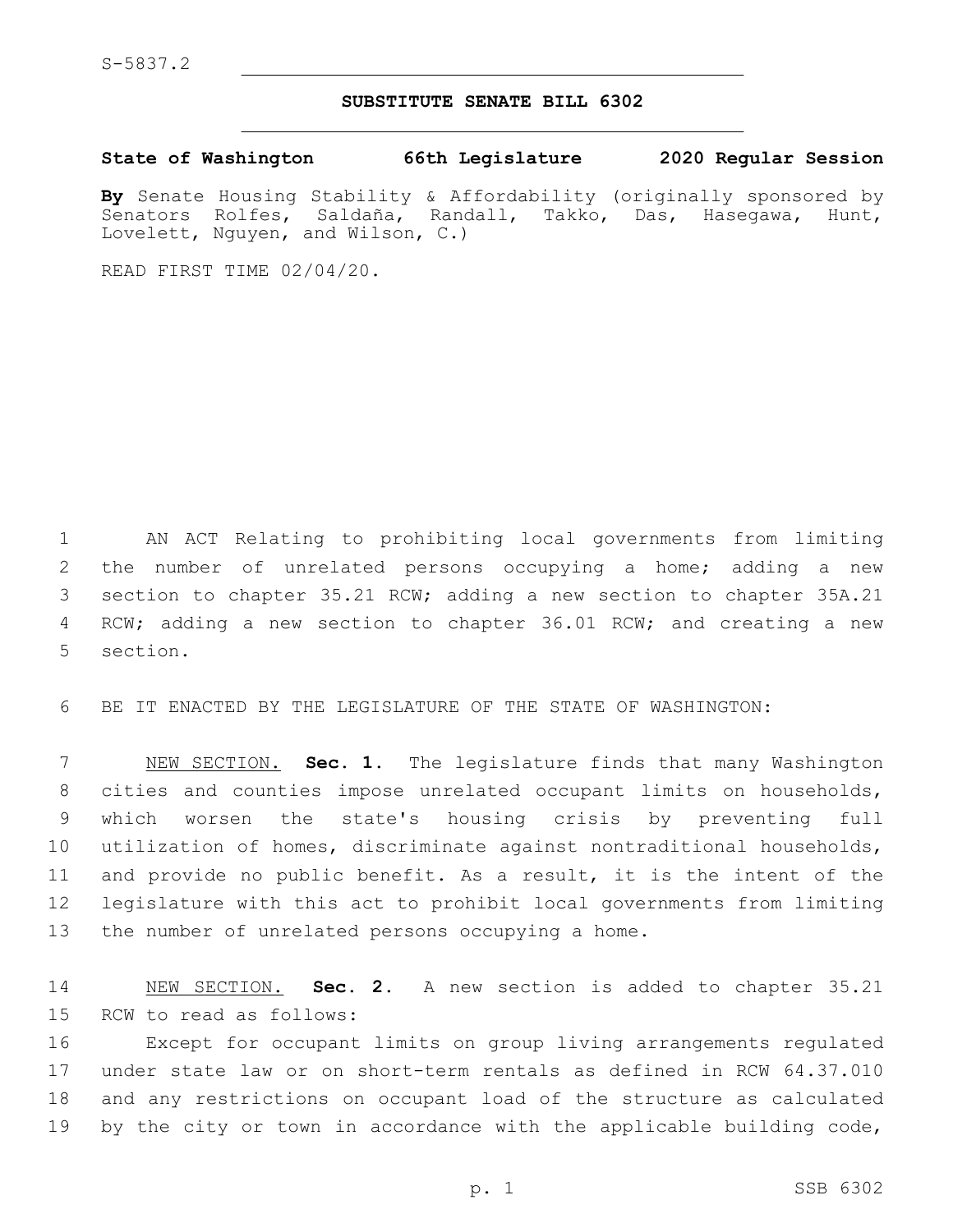## **SUBSTITUTE SENATE BILL 6302**

**State of Washington 66th Legislature 2020 Regular Session**

**By** Senate Housing Stability & Affordability (originally sponsored by Senators Rolfes, Saldaña, Randall, Takko, Das, Hasegawa, Hunt, Lovelett, Nguyen, and Wilson, C.)

READ FIRST TIME 02/04/20.

 AN ACT Relating to prohibiting local governments from limiting the number of unrelated persons occupying a home; adding a new section to chapter 35.21 RCW; adding a new section to chapter 35A.21 RCW; adding a new section to chapter 36.01 RCW; and creating a new 5 section.

BE IT ENACTED BY THE LEGISLATURE OF THE STATE OF WASHINGTON:

 NEW SECTION. **Sec. 1.** The legislature finds that many Washington cities and counties impose unrelated occupant limits on households, which worsen the state's housing crisis by preventing full utilization of homes, discriminate against nontraditional households, and provide no public benefit. As a result, it is the intent of the legislature with this act to prohibit local governments from limiting the number of unrelated persons occupying a home.

 NEW SECTION. **Sec. 2.** A new section is added to chapter 35.21 15 RCW to read as follows:

 Except for occupant limits on group living arrangements regulated under state law or on short-term rentals as defined in RCW 64.37.010 and any restrictions on occupant load of the structure as calculated by the city or town in accordance with the applicable building code,